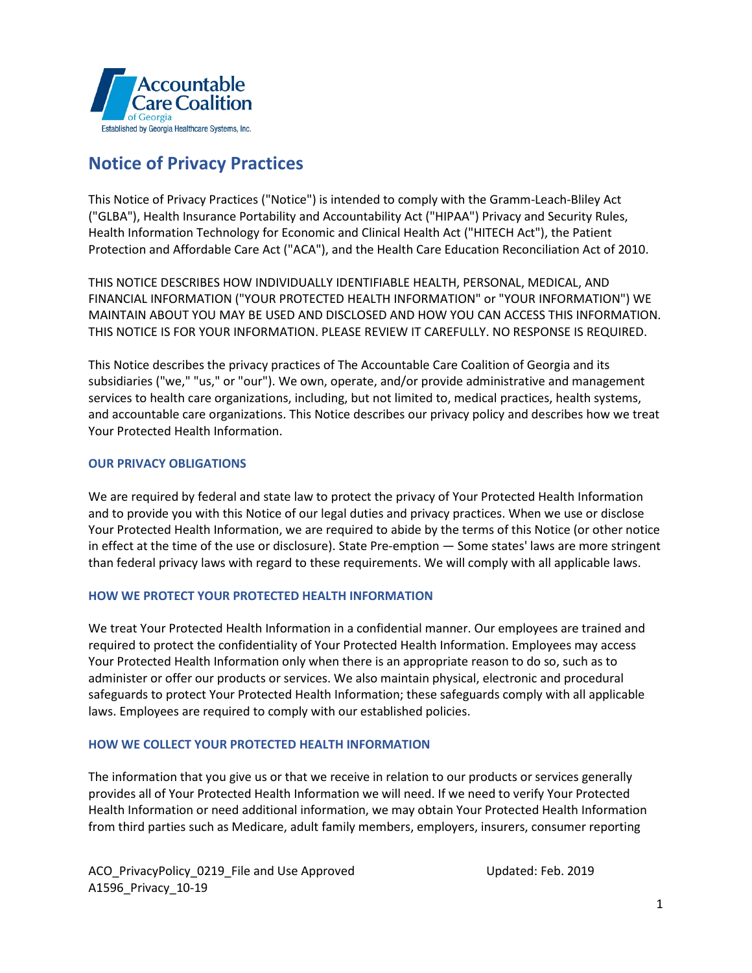

# **Notice of Privacy Practices**

This Notice of Privacy Practices ("Notice") is intended to comply with the Gramm-Leach-Bliley Act ("GLBA"), Health Insurance Portability and Accountability Act ("HIPAA") Privacy and Security Rules, Health Information Technology for Economic and Clinical Health Act ("HITECH Act"), the Patient Protection and Affordable Care Act ("ACA"), and the Health Care Education Reconciliation Act of 2010.

THIS NOTICE DESCRIBES HOW INDIVIDUALLY IDENTIFIABLE HEALTH, PERSONAL, MEDICAL, AND FINANCIAL INFORMATION ("YOUR PROTECTED HEALTH INFORMATION" or "YOUR INFORMATION") WE MAINTAIN ABOUT YOU MAY BE USED AND DISCLOSED AND HOW YOU CAN ACCESS THIS INFORMATION. THIS NOTICE IS FOR YOUR INFORMATION. PLEASE REVIEW IT CAREFULLY. NO RESPONSE IS REQUIRED.

This Notice describes the privacy practices of The Accountable Care Coalition of Georgia and its subsidiaries ("we," "us," or "our"). We own, operate, and/or provide administrative and management services to health care organizations, including, but not limited to, medical practices, health systems, and accountable care organizations. This Notice describes our privacy policy and describes how we treat Your Protected Health Information.

## **OUR PRIVACY OBLIGATIONS**

We are required by federal and state law to protect the privacy of Your Protected Health Information and to provide you with this Notice of our legal duties and privacy practices. When we use or disclose Your Protected Health Information, we are required to abide by the terms of this Notice (or other notice in effect at the time of the use or disclosure). State Pre-emption — Some states' laws are more stringent than federal privacy laws with regard to these requirements. We will comply with all applicable laws.

## **HOW WE PROTECT YOUR PROTECTED HEALTH INFORMATION**

We treat Your Protected Health Information in a confidential manner. Our employees are trained and required to protect the confidentiality of Your Protected Health Information. Employees may access Your Protected Health Information only when there is an appropriate reason to do so, such as to administer or offer our products or services. We also maintain physical, electronic and procedural safeguards to protect Your Protected Health Information; these safeguards comply with all applicable laws. Employees are required to comply with our established policies.

# **HOW WE COLLECT YOUR PROTECTED HEALTH INFORMATION**

The information that you give us or that we receive in relation to our products or services generally provides all of Your Protected Health Information we will need. If we need to verify Your Protected Health Information or need additional information, we may obtain Your Protected Health Information from third parties such as Medicare, adult family members, employers, insurers, consumer reporting

ACO\_PrivacyPolicy\_0219\_File and Use Approved The Updated: Feb. 2019 A1596\_Privacy\_10-19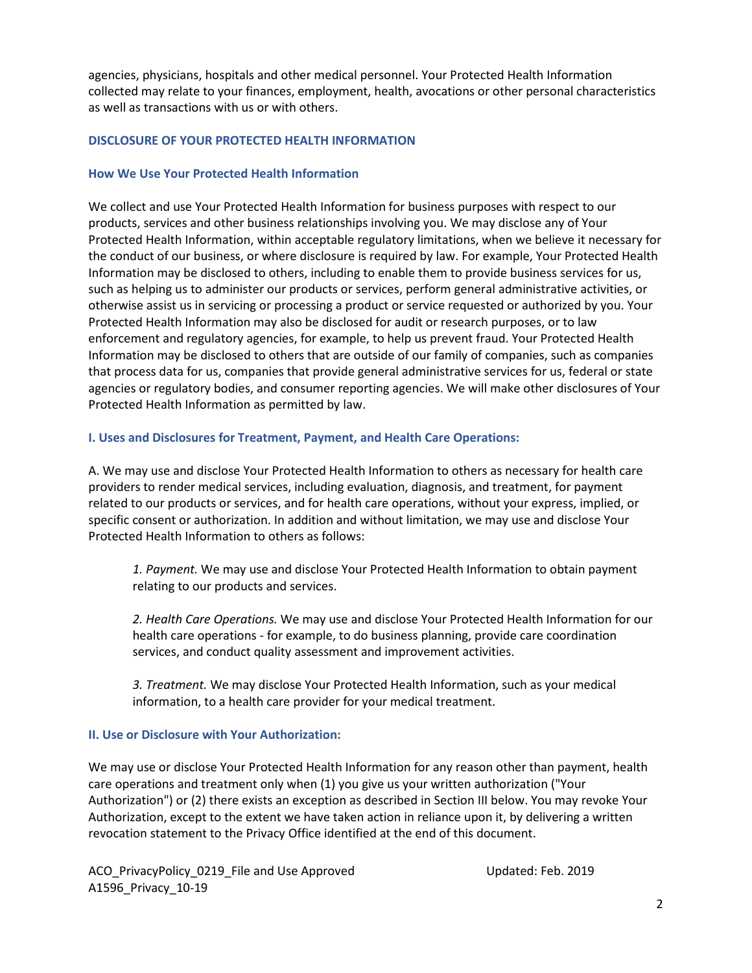agencies, physicians, hospitals and other medical personnel. Your Protected Health Information collected may relate to your finances, employment, health, avocations or other personal characteristics as well as transactions with us or with others.

#### **DISCLOSURE OF YOUR PROTECTED HEALTH INFORMATION**

#### **How We Use Your Protected Health Information**

We collect and use Your Protected Health Information for business purposes with respect to our products, services and other business relationships involving you. We may disclose any of Your Protected Health Information, within acceptable regulatory limitations, when we believe it necessary for the conduct of our business, or where disclosure is required by law. For example, Your Protected Health Information may be disclosed to others, including to enable them to provide business services for us, such as helping us to administer our products or services, perform general administrative activities, or otherwise assist us in servicing or processing a product or service requested or authorized by you. Your Protected Health Information may also be disclosed for audit or research purposes, or to law enforcement and regulatory agencies, for example, to help us prevent fraud. Your Protected Health Information may be disclosed to others that are outside of our family of companies, such as companies that process data for us, companies that provide general administrative services for us, federal or state agencies or regulatory bodies, and consumer reporting agencies. We will make other disclosures of Your Protected Health Information as permitted by law.

#### **I. Uses and Disclosures for Treatment, Payment, and Health Care Operations:**

A. We may use and disclose Your Protected Health Information to others as necessary for health care providers to render medical services, including evaluation, diagnosis, and treatment, for payment related to our products or services, and for health care operations, without your express, implied, or specific consent or authorization. In addition and without limitation, we may use and disclose Your Protected Health Information to others as follows:

*1. Payment.* We may use and disclose Your Protected Health Information to obtain payment relating to our products and services.

*2. Health Care Operations.* We may use and disclose Your Protected Health Information for our health care operations - for example, to do business planning, provide care coordination services, and conduct quality assessment and improvement activities.

*3. Treatment.* We may disclose Your Protected Health Information, such as your medical information, to a health care provider for your medical treatment.

## **II. Use or Disclosure with Your Authorization:**

We may use or disclose Your Protected Health Information for any reason other than payment, health care operations and treatment only when (1) you give us your written authorization ("Your Authorization") or (2) there exists an exception as described in Section III below. You may revoke Your Authorization, except to the extent we have taken action in reliance upon it, by delivering a written revocation statement to the Privacy Office identified at the end of this document.

ACO\_PrivacyPolicy\_0219\_File and Use Approved Updated: Feb. 2019 A1596\_Privacy\_10-19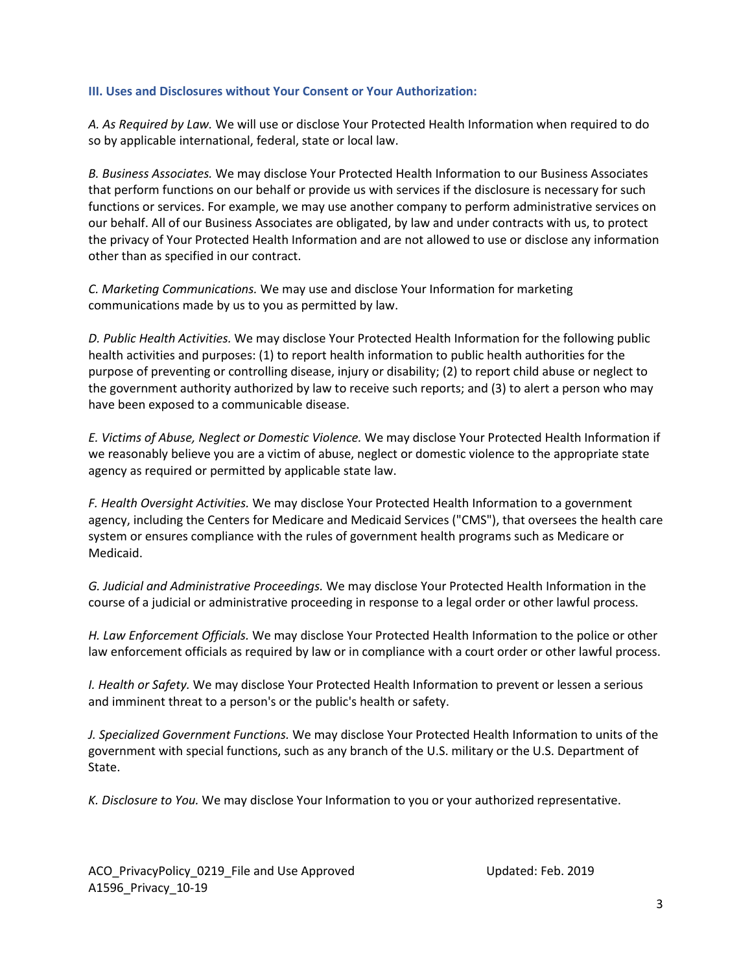#### **III. Uses and Disclosures without Your Consent or Your Authorization:**

*A. As Required by Law.* We will use or disclose Your Protected Health Information when required to do so by applicable international, federal, state or local law.

*B. Business Associates.* We may disclose Your Protected Health Information to our Business Associates that perform functions on our behalf or provide us with services if the disclosure is necessary for such functions or services. For example, we may use another company to perform administrative services on our behalf. All of our Business Associates are obligated, by law and under contracts with us, to protect the privacy of Your Protected Health Information and are not allowed to use or disclose any information other than as specified in our contract.

*C. Marketing Communications.* We may use and disclose Your Information for marketing communications made by us to you as permitted by law.

*D. Public Health Activities.* We may disclose Your Protected Health Information for the following public health activities and purposes: (1) to report health information to public health authorities for the purpose of preventing or controlling disease, injury or disability; (2) to report child abuse or neglect to the government authority authorized by law to receive such reports; and (3) to alert a person who may have been exposed to a communicable disease.

*E. Victims of Abuse, Neglect or Domestic Violence.* We may disclose Your Protected Health Information if we reasonably believe you are a victim of abuse, neglect or domestic violence to the appropriate state agency as required or permitted by applicable state law.

*F. Health Oversight Activities.* We may disclose Your Protected Health Information to a government agency, including the Centers for Medicare and Medicaid Services ("CMS"), that oversees the health care system or ensures compliance with the rules of government health programs such as Medicare or Medicaid.

*G. Judicial and Administrative Proceedings.* We may disclose Your Protected Health Information in the course of a judicial or administrative proceeding in response to a legal order or other lawful process.

*H. Law Enforcement Officials.* We may disclose Your Protected Health Information to the police or other law enforcement officials as required by law or in compliance with a court order or other lawful process.

*I. Health or Safety.* We may disclose Your Protected Health Information to prevent or lessen a serious and imminent threat to a person's or the public's health or safety.

*J. Specialized Government Functions.* We may disclose Your Protected Health Information to units of the government with special functions, such as any branch of the U.S. military or the U.S. Department of State.

*K. Disclosure to You.* We may disclose Your Information to you or your authorized representative.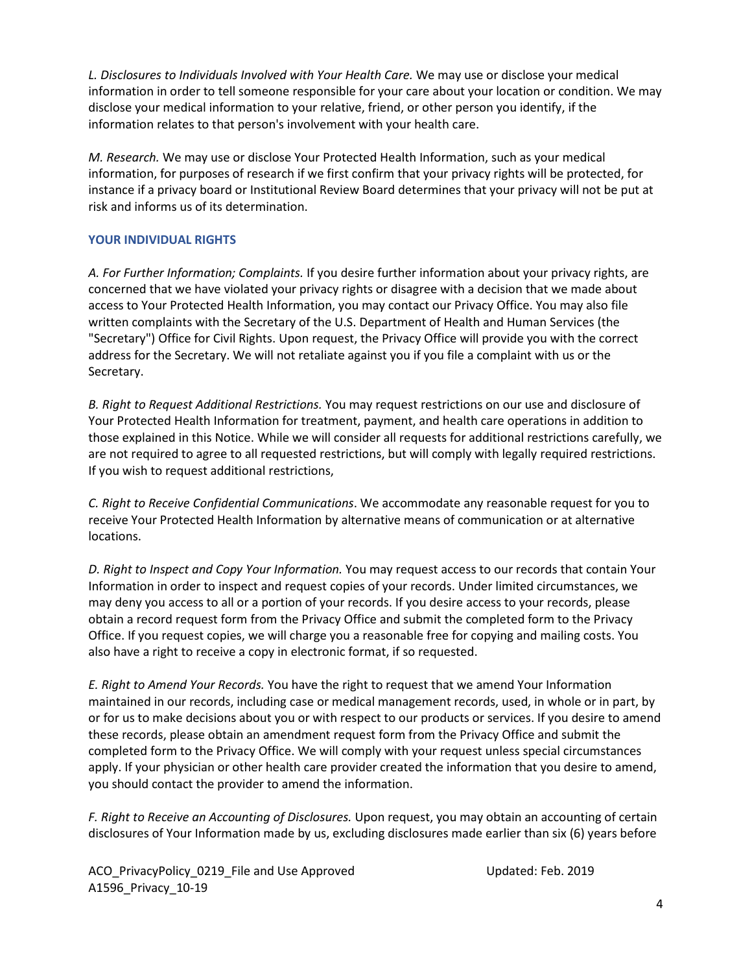*L. Disclosures to Individuals Involved with Your Health Care.* We may use or disclose your medical information in order to tell someone responsible for your care about your location or condition. We may disclose your medical information to your relative, friend, or other person you identify, if the information relates to that person's involvement with your health care.

*M. Research.* We may use or disclose Your Protected Health Information, such as your medical information, for purposes of research if we first confirm that your privacy rights will be protected, for instance if a privacy board or Institutional Review Board determines that your privacy will not be put at risk and informs us of its determination.

# **YOUR INDIVIDUAL RIGHTS**

*A. For Further Information; Complaints.* If you desire further information about your privacy rights, are concerned that we have violated your privacy rights or disagree with a decision that we made about access to Your Protected Health Information, you may contact our Privacy Office. You may also file written complaints with the Secretary of the U.S. Department of Health and Human Services (the "Secretary") Office for Civil Rights. Upon request, the Privacy Office will provide you with the correct address for the Secretary. We will not retaliate against you if you file a complaint with us or the Secretary.

*B. Right to Request Additional Restrictions.* You may request restrictions on our use and disclosure of Your Protected Health Information for treatment, payment, and health care operations in addition to those explained in this Notice. While we will consider all requests for additional restrictions carefully, we are not required to agree to all requested restrictions, but will comply with legally required restrictions. If you wish to request additional restrictions,

*C. Right to Receive Confidential Communications*. We accommodate any reasonable request for you to receive Your Protected Health Information by alternative means of communication or at alternative locations.

*D. Right to Inspect and Copy Your Information.* You may request access to our records that contain Your Information in order to inspect and request copies of your records. Under limited circumstances, we may deny you access to all or a portion of your records. If you desire access to your records, please obtain a record request form from the Privacy Office and submit the completed form to the Privacy Office. If you request copies, we will charge you a reasonable free for copying and mailing costs. You also have a right to receive a copy in electronic format, if so requested.

*E. Right to Amend Your Records.* You have the right to request that we amend Your Information maintained in our records, including case or medical management records, used, in whole or in part, by or for us to make decisions about you or with respect to our products or services. If you desire to amend these records, please obtain an amendment request form from the Privacy Office and submit the completed form to the Privacy Office. We will comply with your request unless special circumstances apply. If your physician or other health care provider created the information that you desire to amend, you should contact the provider to amend the information.

*F. Right to Receive an Accounting of Disclosures.* Upon request, you may obtain an accounting of certain disclosures of Your Information made by us, excluding disclosures made earlier than six (6) years before

ACO\_PrivacyPolicy\_0219\_File and Use Approved The Updated: Feb. 2019 A1596\_Privacy\_10-19